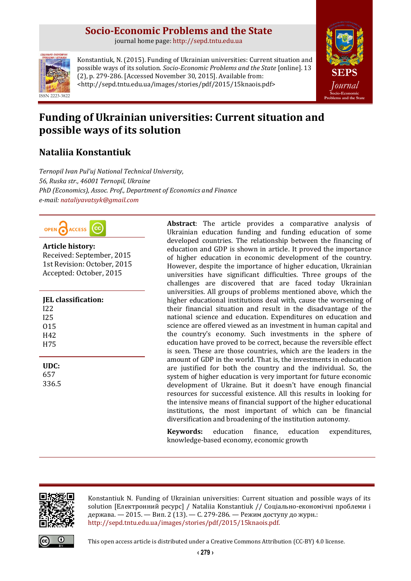# **Socio-Economic Problems and the State**

journal home page: [http://sepd.tntu.edu.ua](http://sepd.tntu.edu.ua/)



Konstantiuk, N. (2015). Funding of Ukrainian universities: Current situation and possible ways of its solution. *Socio-Economic Problems and the State* [online]. 13 (2), p. 279-286. [Accessed November 30, 2015]. Available from: <http://sepd.tntu.edu.ua/images/stories/pdf/2015/15knaois.pdf>



# **Funding of Ukrainian universities: Current situation and possible ways of its solution**

## **Nataliia Konstantiuk**

*Ternopil Ivan Pul'uj National Technical University, 56, Ruska str., 46001 Ternopil, Ukraine PhD (Economics), Assoc. Prof., Department of Economics and Finance e-mail: [nataliyavatsyk@gmail.com](mailto:nataliyavatsyk@gmail.com)*



## **Article history:**

Received: September, 2015 1st Revision: October, 2015 Accepted: October, 2015

| <b>IEL</b> classification: |
|----------------------------|
| 122                        |
| 125                        |
| 015                        |
| H42                        |
| H75                        |
|                            |
| UDC:                       |

657 336.5 **Abstract**: The article provides a comparative analysis of Ukrainian education funding and funding education of some developed countries. The relationship between the financing of education and GDP is shown in article. It proved the importance of higher education in economic development of the country. However, despite the importance of higher education, Ukrainian universities have significant difficulties. Three groups of the challenges are discovered that are faced today Ukrainian universities. All groups of problems mentioned above, which the higher educational institutions deal with, cause the worsening of their financial situation and result in the disadvantage of the national science and education. Expenditures on education and science are offered viewed as an investment in human capital and the country's economy. Such investments in the sphere of education have proved to be correct, because the reversible effect is seen. These are those countries, which are the leaders in the amount of GDP in the world. That is, the investments in education are justified for both the country and the individual. So, the system of higher education is very important for future economic development of Ukraine. But it doesn't have enough financial resources for successful existence. All this results in looking for the intensive means of financial support of the higher educational institutions, the most important of which can be financial diversification and broadening of the institution autonomy.

**Keywords:** education finance, education expenditures, knowledge-based economy, economic growth



Konstantiuk N. Funding of Ukrainian universities: Current situation and possible ways of its solution [Електронний ресурс] / Nataliia Konstantiuk // Соціально-економічні проблеми і держава. — 2015. — Вип. 2 (13). — С. 279-286. — Режим доступу до журн.: [http://sepd.tntu.edu.ua/images/stories/pdf/2015/15knaois.pdf.](http://sepd.tntu.edu.ua/images/stories/pdf/2015/15knaois.pdf)



This open access article is distributed under [a Creative Commons Attribution \(CC-BY\) 4.0 license.](http://creativecommons.org/licenses/by/4.0/)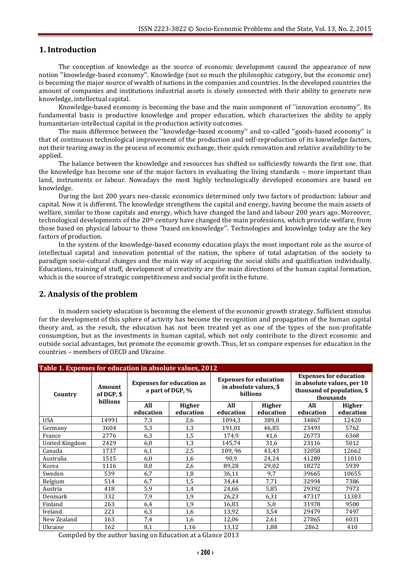## **1. Introduction**

The conception of knowledge as the source of economic development caused the appearance of new notion ''knowledge-based economy''. Knowledge (not so much the philosophic category, but the economic one) is becoming the major source of wealth of nations in the companies and countries. In the developed countries the amount of companies and institutions industrial assets is closely connected with their ability to generate new knowledge, intellectual capital.

Knowledge-based economy is becoming the base and the main component of ''innovation economy''. Its fundamental basis is productive knowledge and proper education, which characterizes the ability to apply humanitarian-intellectual capital in the production activity outcomes.

The main difference between the ''knowledge-based economy'' and so-called ''goods-based economy'' is that of continuous technological improvement of the production and self-reproduction of its knowledge factors, not their tearing away in the process of economic exchange, their quick renovation and relative availability to be applied.

The balance between the knowledge and resources has shifted so sufficiently towards the first one, that the knowledge has become one of the major factors in evaluating the living standards – more important than land, instruments or labour. Nowadays the most highly technologically developed economies are based on knowledge.

During the last 200 years neo-classic economics determined only two factors of production: labour and capital. Now it is different. The knowledge strengthens the capital and energy, having become the main assets of welfare, similar to those capitals and energy, which have changed the land and labour 200 years ago. Moreover, technological developments of the  $20<sup>th</sup>$  century have changed the main professions, which provide welfare, from those based on physical labour to those ''based on knowledge''. Technologies and knowledge today are the key factors of production.

In the system of the knowledge-based economy education plays the most important role as the source of intellectual capital and innovation potential of the nation, the sphere of total adaptation of the society to paradigm socio-cultural changes and the main way of acquiring the social skills and qualification individually. Educations, training of stuff, development of creativity are the main directions of the human capital formation, which is the source of strategic competitiveness and social profit in the future.

### **2. Analysis of the problem**

In modern society education is becoming the element of the economic growth strategy. Sufficient stimulus for the development of this sphere of activity has become the recognition and propagation of the human capital theory and, as the result, the education has not been treated yet as one of the types of the non-profitable consumption, but as the investments in human capital, which not only contribute to the direct economic and outside social advantages, but promote the economic growth. Thus, let us compare expenses for education in the countries – members of OECD and Ukraine.

| Table 1. Expenses for education in absolute values, 2012 |                                  |                                                      |               |                                                                     |               |                                                                                                        |               |  |  |
|----------------------------------------------------------|----------------------------------|------------------------------------------------------|---------------|---------------------------------------------------------------------|---------------|--------------------------------------------------------------------------------------------------------|---------------|--|--|
| Country                                                  | Amount<br>of DGP, \$<br>billions | <b>Expenses for education as</b><br>a part of DGP, % |               | <b>Expenses for education</b><br>in absolute values, \$<br>billions |               | <b>Expenses for education</b><br>in absolute values, per 10<br>thousand of population, \$<br>thousands |               |  |  |
|                                                          |                                  | All                                                  | <b>Higher</b> | All                                                                 | <b>Higher</b> | All                                                                                                    | <b>Higher</b> |  |  |
|                                                          |                                  | education                                            | education     | education                                                           | education     | education                                                                                              | education     |  |  |
| <b>USA</b>                                               | 14991                            | 7,3                                                  | 2,6           | 1094,3                                                              | 389,8         | 34867                                                                                                  | 12420         |  |  |
| Germany                                                  | 3604                             | 5,3                                                  | 1,3           | 191,01                                                              | 46,85         | 23493                                                                                                  | 5762          |  |  |
| France                                                   | 2776                             | 6,3                                                  | 1,5           | 174,9                                                               | 41,6          | 26773                                                                                                  | 6368          |  |  |
| United Kingdom                                           | 2429                             | 6,0                                                  | 1,3           | 145,74                                                              | 31,6          | 23116                                                                                                  | 5012          |  |  |
| Canada                                                   | 1737                             | 6,1                                                  | 2,5           | 109,96                                                              | 43,43         | 32058                                                                                                  | 12662         |  |  |
| Australia                                                | 1515                             | 6,0                                                  | 1,6           | 90,9                                                                | 24,24         | 41289                                                                                                  | 11010         |  |  |
| Korea                                                    | 1116                             | 8,0                                                  | 2,6           | 89,28                                                               | 29,02         | 18272                                                                                                  | 5939          |  |  |
| Sweden                                                   | 539                              | 6,7                                                  | 1,8           | 36,11                                                               | 9,7           | 39665                                                                                                  | 10655         |  |  |
| Belgium                                                  | 514                              | 6,7                                                  | 1,5           | 34,44                                                               | 7,71          | 32994                                                                                                  | 7386          |  |  |
| Austria                                                  | 418                              | 5,9                                                  | 1,4           | 24,66                                                               | 5,85          | 29392                                                                                                  | 7973          |  |  |
| Denmark                                                  | 332                              | 7,9                                                  | 1,9           | 26,23                                                               | 6,31          | 47317                                                                                                  | 11383         |  |  |
| Finland                                                  | 263                              | 6,4                                                  | 1,9           | 16,83                                                               | 5,0           | 31978                                                                                                  | 9500          |  |  |
| Ireland                                                  | 221                              | 6,3                                                  | 1,6           | 13,92                                                               | 3,54          | 29479                                                                                                  | 7497          |  |  |
| New Zealand                                              | 163                              | 7,4                                                  | 1,6           | 12,06                                                               | 2,61          | 27865                                                                                                  | 6031          |  |  |
| Ukraine                                                  | 162                              | 8,1                                                  | 1,16          | 13,12                                                               | 1,88          | 2862                                                                                                   | 410           |  |  |

Compiled by the author basing on Education at a Glance 2013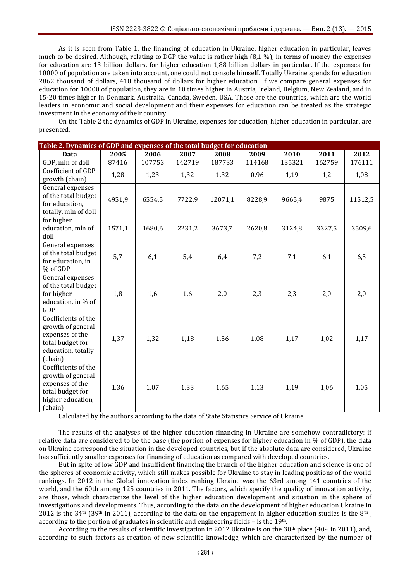As it is seen from Table 1, the financing of education in Ukraine, higher education in particular, leaves much to be desired. Although, relating to DGP the value is rather high (8,1 %), in terms of money the expenses for education are 13 billion dollars, for higher education 1,88 billion dollars in particular. If the expenses for 10000 of population are taken into account, one could not console himself. Totally Ukraine spends for education 2862 thousand of dollars, 410 thousand of dollars for higher education. If we compare general expenses for education for 10000 of population, they are in 10 times higher in Austria, Ireland, Belgium, New Zealand, and in 15-20 times higher in Denmark, Australia, Canada, Sweden, USA. Those are the countries, which are the world leaders in economic and social development and their expenses for education can be treated as the strategic investment in the economy of their country.

On the Table 2 the dynamics of GDP in Ukraine, expenses for education, higher education in particular, are presented.

| Table 2. Dynamics of GDP and expenses of the total budget for education                                          |        |        |        |         |        |        |        |         |
|------------------------------------------------------------------------------------------------------------------|--------|--------|--------|---------|--------|--------|--------|---------|
| Data                                                                                                             | 2005   | 2006   | 2007   | 2008    | 2009   | 2010   | 2011   | 2012    |
| GDP, mln of doll                                                                                                 | 87416  | 107753 | 142719 | 187733  | 114168 | 135321 | 162759 | 176111  |
| Coefficient of GDP<br>growth (chain)                                                                             | 1,28   | 1,23   | 1,32   | 1,32    | 0,96   | 1,19   | 1,2    | 1,08    |
| General expenses<br>of the total budget<br>for education,<br>totally, mln of doll                                | 4951,9 | 6554,5 | 7722,9 | 12071,1 | 8228,9 | 9665,4 | 9875   | 11512,5 |
| for higher<br>education, mln of<br>doll                                                                          | 1571,1 | 1680,6 | 2231,2 | 3673,7  | 2620,8 | 3124,8 | 3327,5 | 3509,6  |
| General expenses<br>of the total budget<br>for education, in<br>% of GDP                                         | 5,7    | 6,1    | 5,4    | 6,4     | 7,2    | 7,1    | 6,1    | 6,5     |
| General expenses<br>of the total budget<br>for higher<br>education, in % of<br>GDP                               | 1,8    | 1,6    | 1,6    | 2,0     | 2,3    | 2,3    | 2,0    | 2,0     |
| Coefficients of the<br>growth of general<br>expenses of the<br>total budget for<br>education, totally<br>(chain) | 1,37   | 1,32   | 1,18   | 1,56    | 1,08   | 1,17   | 1,02   | 1,17    |
| Coefficients of the<br>growth of general<br>expenses of the<br>total budget for<br>higher education,<br>(chain)  | 1,36   | 1,07   | 1,33   | 1,65    | 1,13   | 1,19   | 1,06   | 1,05    |

Calculated by the authors according to the data of State Statistics Service of Ukraine

The results of the analyses of the higher education financing in Ukraine are somehow contradictory: if relative data are considered to be the base (the portion of expenses for higher education in % of GDP), the data on Ukraine correspond the situation in the developed countries, but if the absolute data are considered, Ukraine has sufficiently smaller expenses for financing of education as compared with developed countries.

But in spite of low GDP and insufficient financing the branch of the higher education and science is one of the spheres of economic activity, which still makes possible for Ukraine to stay in leading positions of the world rankings. In 2012 in the Global innovation index ranking Ukraine was the 63rd among 141 countries of the world, and the 60th among 125 countries in 2011. The factors, which specify the quality of innovation activity, are those, which characterize the level of the higher education development and situation in the sphere of investigations and developments. Thus, according to the data on the development of higher education Ukraine in 2012 is the 34<sup>th</sup> (39<sup>th</sup> in 2011), according to the data on the engagement in higher education studies is the 8<sup>th</sup>, according to the portion of graduates in scientific and engineering fields – is the  $19<sup>th</sup>$ .

According to the results of scientific investigation in 2012 Ukraine is on the  $30<sup>th</sup>$  place (40<sup>th</sup> in 2011), and, according to such factors as creation of new scientific knowledge, which are characterized by the number of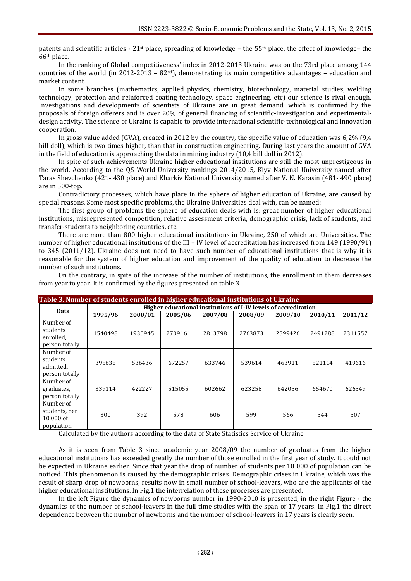patents and scientific articles - 21st place, spreading of knowledge – the 55th place, the effect of knowledge– the 66th place.

In the ranking of Global competitiveness' index in 2012-2013 Ukraine was on the 73rd place among 144 countries of the world (in 2012-2013 – 82<sup>nd</sup>), demonstrating its main competitive advantages – education and market content.

In some branches (mathematics, applied physics, chemistry, biotechnology, material studies, welding technology, protection and reinforced coating technology, space engineering, etc) our science is rival enough. Investigations and developments of scientists of Ukraine are in great demand, which is confirmed by the proposals of foreign offerers and is over 20% of general financing of scientific-investigation and experimentaldesign activity. The science of Ukraine is capable to provide international scientific-technological and innovation cooperation.

In gross value added (GVA), created in 2012 by the country, the specific value of education was 6,2% (9,4 bill doll), which is two times higher, than that in construction engineering. During last years the amount of GVA in the field of education is approaching the data in mining industry (10,4 bill doll in 2012).

In spite of such achievements Ukraine higher educational institutions are still the most unprestigeous in the world. According to the QS World University rankings 2014/2015, Kiyv National University named after Taras Shevchenko (421- 430 place) and Kharkiv National University named after V. N. Karasin (481- 490 place) are in 500-top.

Contradictory processes, which have place in the sphere of higher education of Ukraine, are caused by special reasons. Some most specific problems, the Ukraine Universities deal with, can be named:

The first group of problems the sphere of education deals with is: great number of higher educational institutions, misrepresented competition, relative assessment criteria, demographic crisis, lack of students, and transfer-students to neighboring countries, etc.

There are more than 800 higher educational institutions in Ukraine, 250 of which are Universities. The number of higher educational institutions of the III – IV level of accreditation has increased from 149 (1990/91) to 345 (2011/12). Ukraine does not need to have such number of educational institutions that is why it is reasonable for the system of higher education and improvement of the quality of education to decrease the number of such institutions.

On the contrary, in spite of the increase of the number of institutions, the enrollment in them decreases from year to year. It is confirmed by the figures presented on table 3.

| Table 3. Number of students enrolled in higher educational institutions of Ukraine |                                                                 |         |         |         |         |         |         |         |
|------------------------------------------------------------------------------------|-----------------------------------------------------------------|---------|---------|---------|---------|---------|---------|---------|
|                                                                                    | Higher educational institutions of I-IV levels of accreditation |         |         |         |         |         |         |         |
| Data                                                                               | 1995/96                                                         | 2000/01 | 2005/06 | 2007/08 | 2008/09 | 2009/10 | 2010/11 | 2011/12 |
| Number of<br>students                                                              |                                                                 |         |         |         |         |         |         |         |
| enrolled,                                                                          | 1540498                                                         | 1930945 | 2709161 | 2813798 | 2763873 | 2599426 | 2491288 | 2311557 |
| person totally                                                                     |                                                                 |         |         |         |         |         |         |         |
| Number of<br>students<br>admitted.<br>person totally                               | 395638                                                          | 536436  | 672257  | 633746  | 539614  | 463911  | 521114  | 419616  |
| Number of<br>graduates,<br>person totally                                          | 339114                                                          | 422227  | 515055  | 602662  | 623258  | 642056  | 654670  | 626549  |
| Number of<br>students, per<br>$10000$ of<br>population                             | 300                                                             | 392     | 578     | 606     | 599     | 566     | 544     | 507     |

Calculated by the authors according to the data of State Statistics Service of Ukraine

As it is seen from Table 3 since academic year 2008/09 the number of graduates from the higher educational institutions has exceeded greatly the number of those enrolled in the first year of study. It could not be expected in Ukraine earlier. Since that year the drop of number of students per 10 000 of population can be noticed. This phenomenon is caused by the demographic crises. Demographic crises in Ukraine, which was the result of sharp drop of newborns, results now in small number of school-leavers, who are the applicants of the higher educational institutions. In Fig.1 the interrelation of these processes are presented.

In the left Figure the dynamics of newborns number in 1990-2010 is presented, in the right Figure - the dynamics of the number of school-leavers in the full time studies with the span of 17 years. In Fig.1 the direct dependence between the number of newborns and the number of school-leavers in 17 years is clearly seen.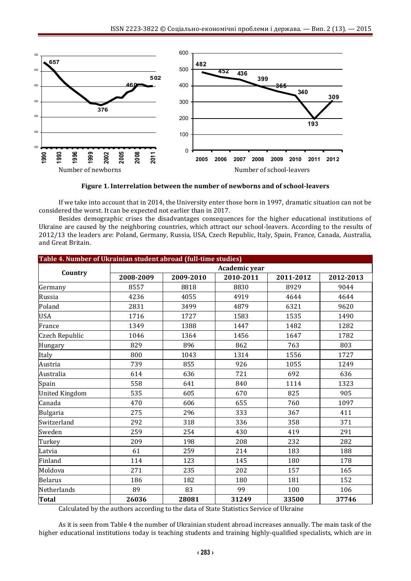

**Figure 1. Interrelation between the number of newborns and of school-leavers**

If we take into account that in 2014, the University enter those born in 1997, dramatic situation can not be considered the worst. It can be expected not earlier than in 2017.

Besides demographic crises the disadvantages consequences for the higher educational institutions of Ukraine are caused by the neighboring countries, which attract our school-leavers. According to the results of 2012/13 the leaders are: Poland, Germany, Russia, USA, Czech Republic, Italy, Spain, France, Canada, Australia, and Great Britain.

| Table 4. Number of Ukrainian student abroad (full-time studies) |               |           |           |           |           |  |  |  |
|-----------------------------------------------------------------|---------------|-----------|-----------|-----------|-----------|--|--|--|
| Country                                                         | Academic year |           |           |           |           |  |  |  |
|                                                                 | 2008-2009     | 2009-2010 | 2010-2011 | 2011-2012 | 2012-2013 |  |  |  |
| Germany                                                         | 8557          | 8818      | 8830      | 8929      | 9044      |  |  |  |
| Russia                                                          | 4236          | 4055      | 4919      | 4644      | 4644      |  |  |  |
| Poland                                                          | 2831          | 3499      | 4879      | 6321      | 9620      |  |  |  |
| <b>USA</b>                                                      | 1716          | 1727      | 1583      | 1535      | 1490      |  |  |  |
| France                                                          | 1349          | 1388      | 1447      | 1482      | 1282      |  |  |  |
| Czech Republic                                                  | 1046          | 1364      | 1456      | 1647      | 1782      |  |  |  |
| Hungary                                                         | 829           | 896       | 862       | 763       | 803       |  |  |  |
| Italy                                                           | 800           | 1043      | 1314      | 1556      | 1727      |  |  |  |
| Austria                                                         | 739           | 855       | 926       | 1055      | 1249      |  |  |  |
| Australia                                                       | 614           | 636       | 721       | 692       | 636       |  |  |  |
| Spain                                                           | 558           | 641       | 840       | 1114      | 1323      |  |  |  |
| <b>United Kingdom</b>                                           | 535           | 605       | 670       | 825       | 905       |  |  |  |
| Canada                                                          | 470           | 606       | 655       | 760       | 1097      |  |  |  |
| <b>Bulgaria</b>                                                 | 275           | 296       | 333       | 367       | 411       |  |  |  |
| Switzerland                                                     | 292           | 318       | 336       | 358       | 371       |  |  |  |
| Sweden                                                          | 259           | 254       | 430       | 419       | 291       |  |  |  |
| Turkey                                                          | 209           | 198       | 208       | 232       | 282       |  |  |  |
| Latvia                                                          | 61            | 259       | 214       | 183       | 188       |  |  |  |
| Finland                                                         | 114           | 123       | 145       | 180       | 178       |  |  |  |
| Moldova                                                         | 271           | 235       | 202       | 157       | 165       |  |  |  |
| <b>Belarus</b>                                                  | 186           | 182       | 180       | 181       | 152       |  |  |  |
| Netherlands                                                     | 89            | 83        | 99        | 100       | 106       |  |  |  |
| <b>Total</b>                                                    | 26036         | 28081     | 31249     | 33500     | 37746     |  |  |  |

Calculated by the authors according to the data of State Statistics Service of Ukraine

As it is seen from Table 4 the number of Ukrainian student abroad increases annually. The main task of the higher educational institutions today is teaching students and training highly-qualified specialists, which are in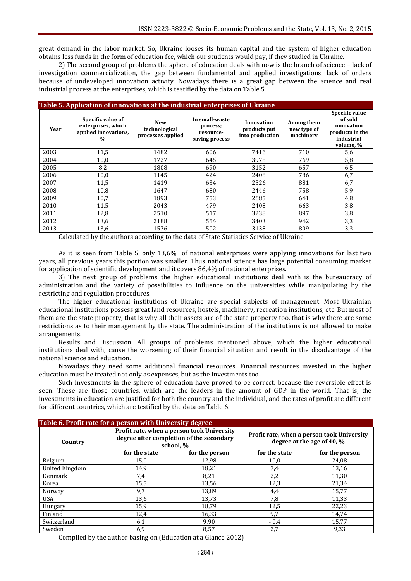great demand in the labor market. So, Ukraine looses its human capital and the system of higher education obtains less funds in the form of education fee, which our students would pay, if they studied in Ukraine.

2) The second group of problems the sphere of education deals with now is the branch of science – lack of investigation commercialization, the gap between fundamental and applied investigations, lack of orders because of undeveloped innovation activity. Nowadays there is a great gap between the science and real industrial process at the enterprises, which is testified by the data on Table 5.

| Table 5. Application of innovations at the industrial enterprises of Ukraine |                                                                                  |                                                  |                                                           |                                               |                                        |                                                                                       |  |  |  |
|------------------------------------------------------------------------------|----------------------------------------------------------------------------------|--------------------------------------------------|-----------------------------------------------------------|-----------------------------------------------|----------------------------------------|---------------------------------------------------------------------------------------|--|--|--|
| Year                                                                         | Specific value of<br>enterprises, which<br>applied innovations,<br>$\frac{0}{0}$ | <b>New</b><br>technological<br>processes applied | In small-waste<br>process;<br>resource-<br>saving process | Innovation<br>products put<br>into production | Among them<br>new type of<br>machinery | Specific value<br>of sold<br>innovation<br>products in the<br>industrial<br>volume, % |  |  |  |
| 2003                                                                         | 11,5                                                                             | 1482                                             | 606                                                       | 7416                                          | 710                                    | 5,6                                                                                   |  |  |  |
| 2004                                                                         | 10,0                                                                             | 1727                                             | 645                                                       | 3978                                          | 769                                    | 5,8                                                                                   |  |  |  |
| 2005                                                                         | 8,2                                                                              | 1808                                             | 690                                                       | 3152                                          | 657                                    | 6,5                                                                                   |  |  |  |
| 2006                                                                         | 10,0                                                                             | 1145                                             | 424                                                       | 2408                                          | 786                                    | 6,7                                                                                   |  |  |  |
| 2007                                                                         | 11,5                                                                             | 1419                                             | 634                                                       | 2526                                          | 881                                    | 6,7                                                                                   |  |  |  |
| 2008                                                                         | 10,8                                                                             | 1647                                             | 680                                                       | 2446                                          | 758                                    | 5,9                                                                                   |  |  |  |
| 2009                                                                         | 10,7                                                                             | 1893                                             | 753                                                       | 2685                                          | 641                                    | 4,8                                                                                   |  |  |  |
| 2010                                                                         | 11,5                                                                             | 2043                                             | 479                                                       | 2408                                          | 663                                    | 3,8                                                                                   |  |  |  |
| 2011                                                                         | 12,8                                                                             | 2510                                             | 517                                                       | 3238                                          | 897                                    | 3,8                                                                                   |  |  |  |
| 2012                                                                         | 13,6                                                                             | 2188                                             | 554                                                       | 3403                                          | 942                                    | 3,3                                                                                   |  |  |  |
| 2013                                                                         | 13,6                                                                             | 1576                                             | 502                                                       | 3138                                          | 809                                    | 3,3                                                                                   |  |  |  |

Calculated by the authors according to the data of State Statistics Service of Ukraine

As it is seen from Table 5, only 13,6% of national enterprises were applying innovations for last two years, all previous years this portion was smaller. Thus national science has large potential consuming market for application of scientific development and it covers 86,4% of national enterprises.

3) The next group of problems the higher educational institutions deal with is the bureaucracy of administration and the variety of possibilities to influence on the universities while manipulating by the restricting and regulation procedures.

The higher educational institutions of Ukraine are special subjects of management. Most Ukrainian educational institutions possess great land resources, hostels, machinery, recreation institutions, etc. But most of them are the state property, that is why all their assets are of the state property too, that is why there are some restrictions as to their management by the state. The administration of the institutions is not allowed to make arrangements.

Results and Discussion. All groups of problems mentioned above, which the higher educational institutions deal with, cause the worsening of their financial situation and result in the disadvantage of the national science and education.

Nowadays they need some additional financial resources. Financial resources invested in the higher education must be treated not only as expenses, but as the investments too.

Such investments in the sphere of education have proved to be correct, because the reversible effect is seen. These are those countries, which are the leaders in the amount of GDP in the world. That is, the investments in education are justified for both the country and the individual, and the rates of profit are different for different countries, which are testified by the data on Table 6.

| Table 6. Profit rate for a person with University degree |               |                                                                                                     |                                                                          |                |  |  |  |  |
|----------------------------------------------------------|---------------|-----------------------------------------------------------------------------------------------------|--------------------------------------------------------------------------|----------------|--|--|--|--|
| Country                                                  |               | Profit rate, when a person took University<br>degree after completion of the secondary<br>school, % | Profit rate, when a person took University<br>degree at the age of 40, % |                |  |  |  |  |
|                                                          | for the state | for the person                                                                                      | for the state                                                            | for the person |  |  |  |  |
| Belgium                                                  | 15,0          | 12,98                                                                                               | 10,0                                                                     | 24,08          |  |  |  |  |
| United Kingdom                                           | 14,9          | 18,21                                                                                               | 7,4                                                                      | 13,16          |  |  |  |  |
| Denmark                                                  | 7,4           | 8,21                                                                                                | 2,2                                                                      | 11,30          |  |  |  |  |
| Korea                                                    | 15,5          | 13,56                                                                                               | 12,3                                                                     | 21,34          |  |  |  |  |
| Norway                                                   | 9,7           | 13,89                                                                                               | 4,4                                                                      | 15,77          |  |  |  |  |
| <b>USA</b>                                               | 13,6          | 13,73                                                                                               | 7,8                                                                      | 11,33          |  |  |  |  |
| Hungary                                                  | 15,9          | 18,79                                                                                               | 12,5                                                                     | 22,23          |  |  |  |  |
| Finland                                                  | 12,4          | 16,33                                                                                               | 9,7                                                                      | 14,74          |  |  |  |  |
| Switzerland                                              | 6,1           | 9,90                                                                                                | $-0.4$                                                                   | 15,77          |  |  |  |  |
| Sweden                                                   | 6,9           | 8,57                                                                                                | 2,7                                                                      | 9,33           |  |  |  |  |

Compiled by the author basing on (Education at a Glance 2012)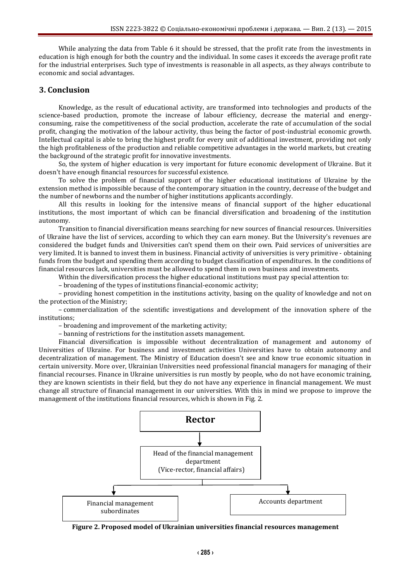While analyzing the data from Table 6 it should be stressed, that the profit rate from the investments in education is high enough for both the country and the individual. In some cases it exceeds the average profit rate for the industrial enterprises. Such type of investments is reasonable in all aspects, as they always contribute to economic and social advantages.

### **3. Conclusion**

Knowledge, as the result of educational activity, are transformed into technologies and products of the science-based production, promote the increase of labour efficiency, decrease the material and energyconsuming, raise the competitiveness of the social production, accelerate the rate of accumulation of the social profit, changing the motivation of the labour activity, thus being the factor of post-industrial economic growth. Intellectual capital is able to bring the highest profit for every unit of additional investment, providing not only the high profitableness of the production and reliable competitive advantages in the world markets, but creating the background of the strategic profit for innovative investments.

So, the system of higher education is very important for future economic development of Ukraine. But it doesn't have enough financial resources for successful existence.

To solve the problem of financial support of the higher educational institutions of Ukraine by the extension method is impossible because of the contemporary situation in the country, decrease of the budget and the number of newborns and the number of higher institutions applicants accordingly.

All this results in looking for the intensive means of financial support of the higher educational institutions, the most important of which can be financial diversification and broadening of the institution autonomy.

Transition to financial diversification means searching for new sources of financial resources. Universities of Ukraine have the list of services, according to which they can earn money. But the University's revenues are considered the budget funds and Universities can't spend them on their own. Paid services of universities are very limited. It is banned to invest them in business. Financial activity of universities is very primitive - obtaining funds from the budget and spending them according to budget classification of expenditures. In the conditions of financial resources lack, universities must be allowed to spend them in own business and investments.

Within the diversification process the higher educational institutions must pay special attention to:

– broadening of the types of institutions financial-economic activity;

– providing honest competition in the institutions activity, basing on the quality of knowledge and not on the protection of the Ministry;

– commercialization of the scientific investigations and development of the innovation sphere of the institutions;

– broadening and improvement of the marketing activity;

– banning of restrictions for the institution assets management.

Financial diversification is impossible without decentralization of management and autonomy of Universities of Ukraine. For business and investment activities Universities have to obtain autonomy and decentralization of management. The Ministry of Education doesn't see and know true economic situation in certain university. More over, Ukrainian Universities need professional financial managers for managing of their financial recourses. Finance in Ukraine universities is run mostly by people, who do not have economic training, they are known scientists in their field, but they do not have any experience in financial management. We must change all structure of financial management in our universities. With this in mind we propose to improve the management of the institutions financial resources, which is shown in Fig. 2.



**Figure 2. Proposed model of Ukrainian universities financial resources management**